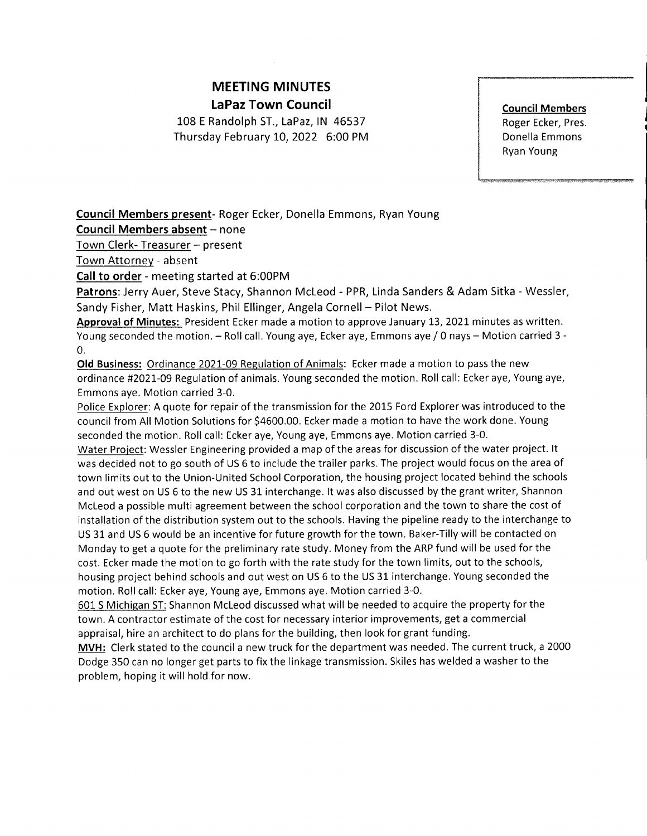# MEETING MINUTES LaPaz Town Council

108 E Randolph ST., LaPaz, lN 46537 Thursday February 10,2022 6:00 PM **Council Members** Roger Ecker, Pres. Donella Emmons Ryan Young

Council Members present- Roger Ecker, Donella Emmons, Ryan Young

Council Members absent - none

Town Clerk- Treasurer - present

Town Attorney - absent

Call to order - meeting started at 6:00PM

Patrons: Jerry Auer, Steve Stacy, Shannon Mcleod - PPR, Linda Sanders & Adam Sitka - Wessler, Sandy Fisher, Matt Haskins, Phil Ellinger, Angela Cornell- Pilot News.

Approval of Minutes: President Ecker made a motion to approve January 13, 2021 minutes as written. Young seconded the motion. - Roll call. Young aye, Ecker aye, Emmons aye / 0 nays - Motion carried 3 -0.

Old Business: Ordinance 2021-09 Regulation of Animals: Ecker made a motion to pass the new ordinance #202L-09 Regulation of animals. Young seconded the motion. Roll call: Ecker aye, Young aye, Emmons aye. Motion carried 3-0.

Police Explorer: A quote for repair of the transmission for the 2015 Ford Explorer was introduced to the council from All Motion Solutions for \$4600.00. Ecker made a motion to have the work done. Young seconded the motion. Roll call: Ecker aye, Young aye, Emmons aye. Motion carried 3-0.

Water Project: Wessler Engineering provided a map of the areas for discussion of the water project. It was decided not to go south of US 6 to include the trailer parks. The project would focus on the area of town limits out to the Union-United School Corporation, the housing project located behind the schools and out west on US 6 to the new US 3L interchange. lt was also discussed by the grant writer, Shannon Mcleod a possible multi agreement between the school corporation and the town to share the cost of installation of the distribution system out to the schools. Having the pipeline ready to the interchange to US 31 and US 6 would be an incentive for future growth for the town. Baker-Tilly will be contacted on Monday to get a quote for the preliminary rate study. Money from the ARP fund will be used for the cost. Ecker made the motion to go forth with the rate study for the town limits, out to the schools, housing project behind schools and out west on US 6 to the US 31 interchange. Young seconded the motion. Roll call: Ecker aye, Young aye, Emmons aye. Motion carried 3-0.

601 S Michiean ST: Shannon Mcleod discussed what will be needed to acquire the property for the town. A contractor estimate of the cost for necessary interior improvements, get a commercial appraisal, hire an architect to do plans for the building, then look for grant funding.

MVH: Clerk stated to the council a new truck for the department was needed. The current truck, a 2000 Dodge 350 can no longer get parts to fix the linkage transmission. Skiles has welded a washer to the problem, hoping it will hold for now.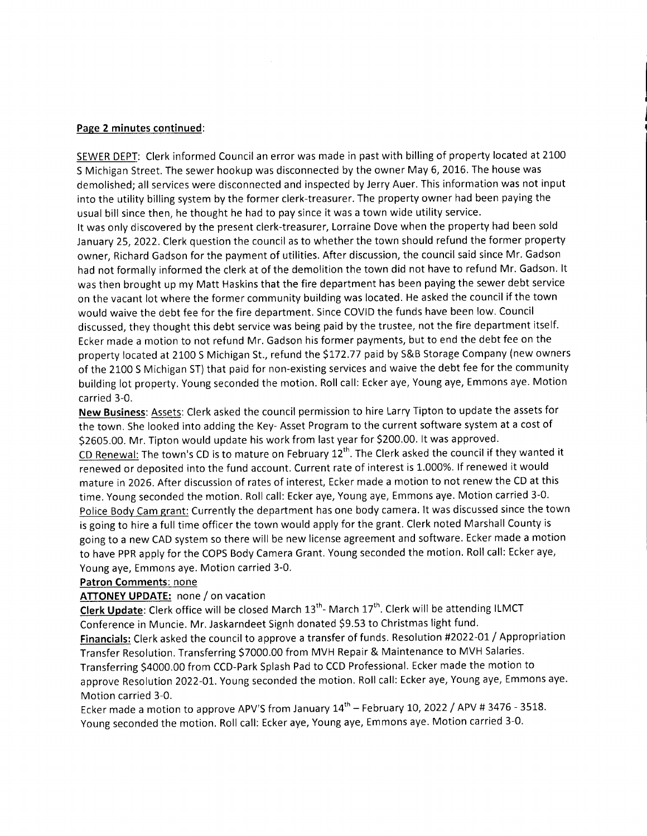#### Page 2 minutes continued:

SEWER DEPT: Clerk informed Council an error was made in past with billing of property located at 2100 S Michigan Street. The sewer hookup was disconnected by the owner May 6, 2016. The house was demolished; all services were disconnected and inspected by Jerry Auer. This information was not input into the utility billing system by the former clerk-treasurer. The property owner had been paying the usual bill since then, he thought he had to pay since it was a town wide utility service.

It was only discovered by the present clerk-treasurer, Lorraine Dove when the property had been sold January 25,2022. Clerk question the council as to whether the town should refund the former property owner, Richard Gadson for the payment of utilities. After discussion, the council said since Mr. Gadson had not formally informed the clerk at of the demolition the town did not have to refund Mr. Gadson. lt was then brought up my Matt Haskins that the fire department has been paying the sewer debt service on the vacant lot where the former community building was located. He asked the council if the town would waive the debt fee for the fire department. Since COVID the funds have been low. Council discussed, they thought this debt service was being paid by the trustee, not the fire department itself. Ecker made a motion to not refund Mr. Gadson his former payments, but to end the debt fee on the property located at 2100 S Michigan St., refund the \$172.77 paid by S&B Storage Company (new owners of the 2100 S Michigan ST) that paid for non-existing services and waive the debt fee for the community building lot property. Young seconded the motion. Roll call: Ecker aye, Young aye, Emmons aye. Motion carried 3-0.

New Business: Assets: Clerk asked the council permission to hire Larry Tipton to update the assets for the town. She looked into adding the Key- Asset Program to the current software system at a cost of 52605.00. Mr. Tipton would update his work from last year for \$200.00. lt was approved. CD Renewal: The town's CD is to mature on February 12<sup>th</sup>. The Clerk asked the council if they wanted it renewed or deposited into the fund account. Current rate of interest is 1.000%. lf renewed it would mature in 2026. After discussion of rates of interest, Ecker made a motion to not renew the CD at this time. Young seconded the motion. Roll call: Ecker aye, Young aye, Emmons aye. Motion carried 3-0. Police Body Cam grant: Currently the department has one body camera. It was discussed since the town is going to hire a full time officer the town would apply for the grant. Clerk noted Marshall County is going to a new CAD system so there will be new license agreement and software. Ecker made a motion to have PPR apply for the COPS Body Camera Grant. Young seconded the motion. Roll call: Ecker aye, Young aye, Emmons aye. Motion carried 3-0.

## Patron Comments: none

## ATTONEY UPDATE: none / on vacation

Clerk Update: Clerk office will be closed March 13<sup>th</sup>- March 17<sup>th</sup>. Clerk will be attending ILMCT Conference in Muncie. Mr. Jaskarndeet Signh donated \$9.53 to Christmas light fund.

Financials: Clerk asked the council to approve a transfer of funds. Resolution #2022-Ot / Appropriation Transfer Resolution. Transferring S7000.00 from MVH Repair & Maintenance to MVH Salaries. Transferring S4O0O.0O from CCD-Park Splash Pad to CCD Professional. Ecker made the motion to approve Resolution 2022-01. Young seconded the motion. Roll call: Ecker aye, Young aye, Emmons aye. Motion carried 3-0.

Ecker made a motion to approve APV'S from January  $14^{\text{th}}$  - February 10, 2022 / APV # 3476 - 3518. young seconded the motion. Roll call: Ecker aye, Young aye, Emmons aye. Motion carried 3-0.